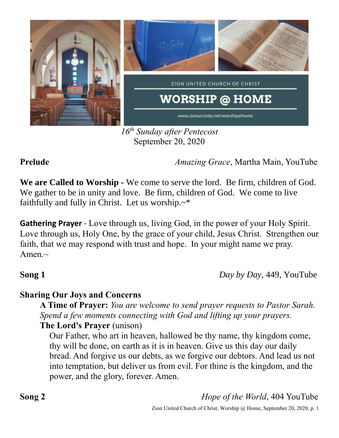

*16th Sunday after Pentecost* September 20, 2020

**Prelude** *Amazing Grace*, Martha Main, YouTube

**We are Called to Worship -** We come to serve the lord. Be firm, children of God. We gather to be in unity and love. Be firm, children of God. We come to live faithfully and fully in Christ. Let us worship.~\*

**Gathering Prayer** - Love through us, living God, in the power of your Holy Spirit. Love through us, Holy One, by the grace of your child, Jesus Christ. Strengthen our faith, that we may respond with trust and hope. In your might name we pray. Amen. $\sim$ 

**Song 1** *Day by Day,* 449, YouTube

## **Sharing Our Joys and Concerns**

**A Time of Prayer:** *You are welcome to send prayer requests to Pastor Sarah. Spend a few moments connecting with God and lifting up your prayers.*

**The Lord's Prayer** (unison)

Our Father, who art in heaven, hallowed be thy name, thy kingdom come, thy will be done, on earth as it is in heaven. Give us this day our daily bread. And forgive us our debts, as we forgive our debtors. And lead us not into temptation, but deliver us from evil. For thine is the kingdom, and the power, and the glory, forever. Amen.

**Song 2** *Hope of the World*, 404 YouTube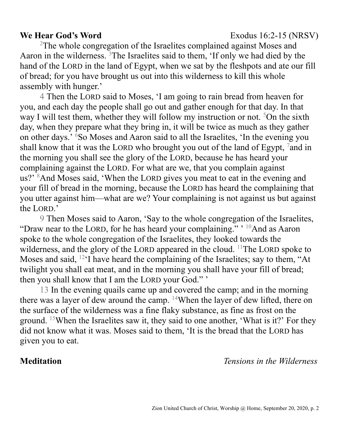## **We Hear God's Word** Exodus 16:2-15 (NRSV)

<sup>2</sup>The whole congregation of the Israelites complained against Moses and Aaron in the wilderness. <sup>3</sup>The Israelites said to them, 'If only we had died by the hand of the LORD in the land of Egypt, when we sat by the fleshpots and ate our fill of bread; for you have brought us out into this wilderness to kill this whole assembly with hunger.'

4 Then the LORD said to Moses, 'I am going to rain bread from heaven for you, and each day the people shall go out and gather enough for that day. In that way I will test them, whether they will follow my instruction or not. <sup>5</sup>On the sixth day, when they prepare what they bring in, it will be twice as much as they gather on other days.' <sup>6</sup>So Moses and Aaron said to all the Israelites, 'In the evening you shall know that it was the LORD who brought you out of the land of Egypt,  $\frac{7}{1}$  and in the morning you shall see the glory of the LORD, because he has heard your complaining against the LORD. For what are we, that you complain against us?' <sup>8</sup>And Moses said, 'When the LORD gives you meat to eat in the evening and your fill of bread in the morning, because the LORD has heard the complaining that you utter against him—what are we? Your complaining is not against us but against the LORD.'

9 Then Moses said to Aaron, 'Say to the whole congregation of the Israelites, "Draw near to the LORD, for he has heard your complaining."  $\cdot$  <sup>10</sup>And as Aaron spoke to the whole congregation of the Israelites, they looked towards the wilderness, and the glory of the LORD appeared in the cloud. <sup>11</sup>The LORD spoke to Moses and said, <sup>12</sup>'I have heard the complaining of the Israelites; say to them, "At twilight you shall eat meat, and in the morning you shall have your fill of bread; then you shall know that I am the LORD your God." '

13 In the evening quails came up and covered the camp; and in the morning there was a layer of dew around the camp. <sup>14</sup>When the layer of dew lifted, there on the surface of the wilderness was a fine flaky substance, as fine as frost on the ground. <sup>15</sup>When the Israelites saw it, they said to one another, 'What is it?' For they did not know what it was. Moses said to them, 'It is the bread that the LORD has given you to eat.

**Meditation** *Tensions in the Wilderness*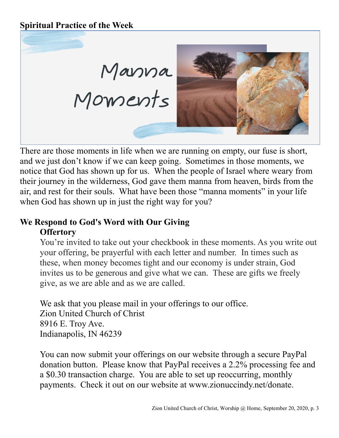# **Spiritual Practice of the Week**



There are those moments in life when we are running on empty, our fuse is short, and we just don't know if we can keep going. Sometimes in those moments, we notice that God has shown up for us. When the people of Israel where weary from their journey in the wilderness, God gave them manna from heaven, birds from the air, and rest for their souls. What have been those "manna moments" in your life when God has shown up in just the right way for you?

### **We Respond to God's Word with Our Giving Offertory**

You're invited to take out your checkbook in these moments. As you write out your offering, be prayerful with each letter and number. In times such as these, when money becomes tight and our economy is under strain, God invites us to be generous and give what we can. These are gifts we freely give, as we are able and as we are called.

We ask that you please mail in your offerings to our office. Zion United Church of Christ 8916 E. Troy Ave. Indianapolis, IN 46239

You can now submit your offerings on our website through a secure PayPal donation button. Please know that PayPal receives a 2.2% processing fee and a \$0.30 transaction charge. You are able to set up reoccurring, monthly payments. Check it out on our website at www.zionuccindy.net/donate.